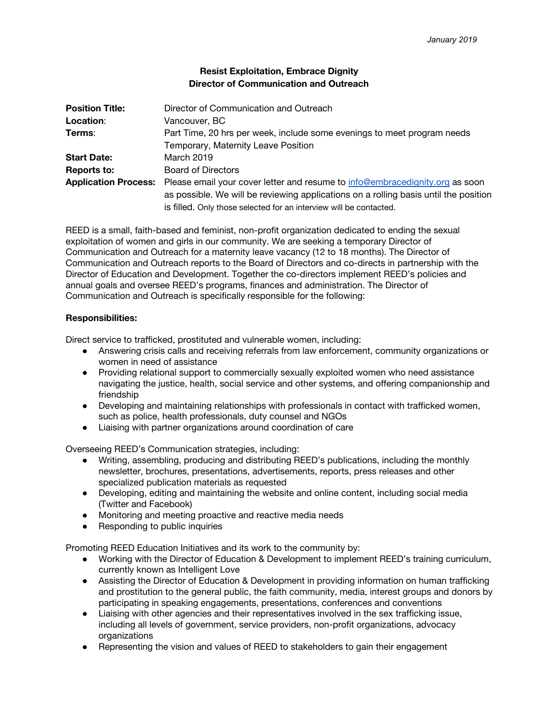## **Resist Exploitation, Embrace Dignity Director of Communication and Outreach**

| <b>Position Title:</b>      | Director of Communication and Outreach                                               |
|-----------------------------|--------------------------------------------------------------------------------------|
| Location:                   | Vancouver, BC                                                                        |
| Terms:                      | Part Time, 20 hrs per week, include some evenings to meet program needs              |
|                             | Temporary, Maternity Leave Position                                                  |
| <b>Start Date:</b>          | March 2019                                                                           |
| Reports to:                 | <b>Board of Directors</b>                                                            |
| <b>Application Process:</b> | Please email your cover letter and resume to info@embracedignity.org as soon         |
|                             | as possible. We will be reviewing applications on a rolling basis until the position |
|                             | is filled. Only those selected for an interview will be contacted.                   |

REED is a small, faith-based and feminist, non-profit organization dedicated to ending the sexual exploitation of women and girls in our community. We are seeking a temporary Director of Communication and Outreach for a maternity leave vacancy (12 to 18 months). The Director of Communication and Outreach reports to the Board of Directors and co-directs in partnership with the Director of Education and Development. Together the co-directors implement REED's policies and annual goals and oversee REED's programs, finances and administration. The Director of Communication and Outreach is specifically responsible for the following:

## **Responsibilities:**

Direct service to trafficked, prostituted and vulnerable women, including:

- Answering crisis calls and receiving referrals from law enforcement, community organizations or women in need of assistance
- Providing relational support to commercially sexually exploited women who need assistance navigating the justice, health, social service and other systems, and offering companionship and friendship
- Developing and maintaining relationships with professionals in contact with trafficked women, such as police, health professionals, duty counsel and NGOs
- Liaising with partner organizations around coordination of care

Overseeing REED's Communication strategies, including:

- Writing, assembling, producing and distributing REED's publications, including the monthly newsletter, brochures, presentations, advertisements, reports, press releases and other specialized publication materials as requested
- Developing, editing and maintaining the website and online content, including social media (Twitter and Facebook)
- Monitoring and meeting proactive and reactive media needs
- Responding to public inquiries

Promoting REED Education Initiatives and its work to the community by:

- Working with the Director of Education & Development to implement REED's training curriculum, currently known as Intelligent Love
- Assisting the Director of Education & Development in providing information on human trafficking and prostitution to the general public, the faith community, media, interest groups and donors by participating in speaking engagements, presentations, conferences and conventions
- Liaising with other agencies and their representatives involved in the sex trafficking issue, including all levels of government, service providers, non-profit organizations, advocacy organizations
- Representing the vision and values of REED to stakeholders to gain their engagement